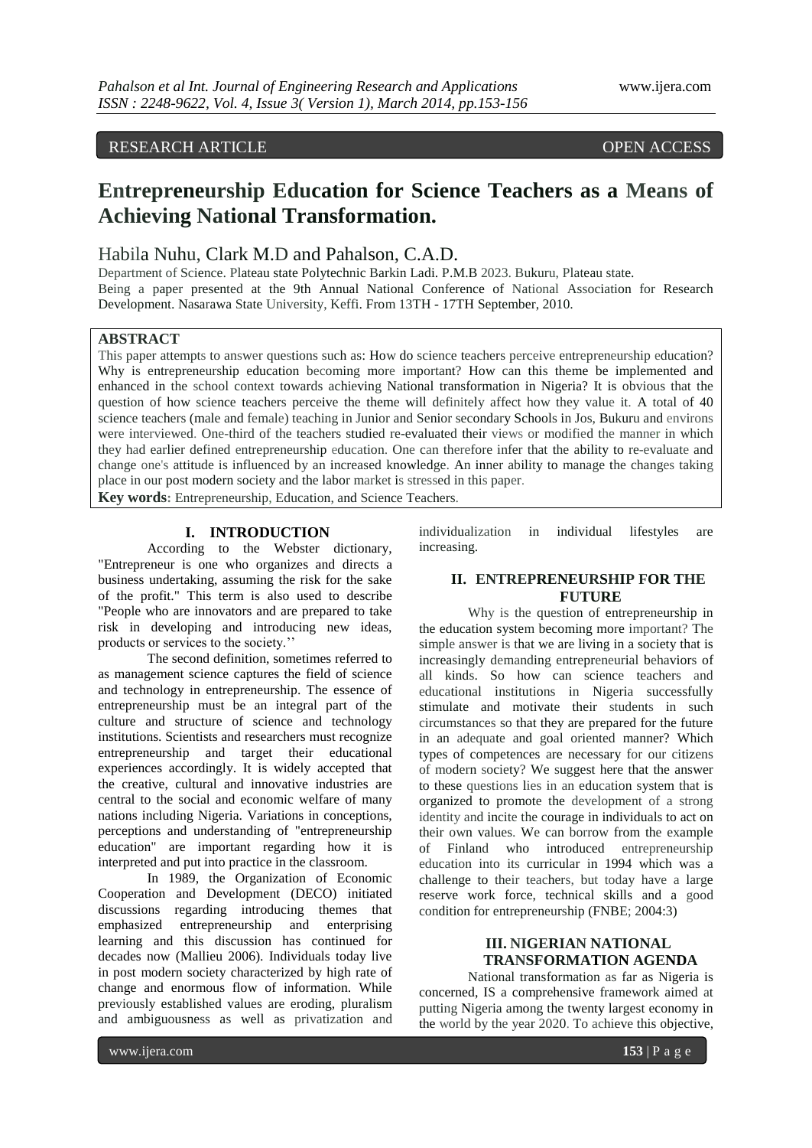# RESEARCH ARTICLE OPEN ACCESS

# **Entrepreneurship Education for Science Teachers as a Means of Achieving National Transformation.**

# Habila Nuhu, Clark M.D and Pahalson, C.A.D.

Department of Science. Plateau state Polytechnic Barkin Ladi. P.M.B 2023. Bukuru, Plateau state. Being a paper presented at the 9th Annual National Conference of National Association for Research Development. Nasarawa State University, Keffi. From 13TH - 17TH September, 2010.

#### **ABSTRACT**

This paper attempts to answer questions such as: How do science teachers perceive entrepreneurship education? Why is entrepreneurship education becoming more important? How can this theme be implemented and enhanced in the school context towards achieving National transformation in Nigeria? It is obvious that the question of how science teachers perceive the theme will definitely affect how they value it. A total of 40 science teachers (male and female) teaching in Junior and Senior secondary Schools in Jos, Bukuru and environs were interviewed. One-third of the teachers studied re-evaluated their views or modified the manner in which they had earlier defined entrepreneurship education. One can therefore infer that the ability to re-evaluate and change one's attitude is influenced by an increased knowledge. An inner ability to manage the changes taking place in our post modern society and the labor market is stressed in this paper. **Key words:** Entrepreneurship, Education, and Science Teachers.

#### **I. INTRODUCTION**

According to the Webster dictionary, "Entrepreneur is one who organizes and directs a business undertaking, assuming the risk for the sake of the profit." This term is also used to describe "People who are innovators and are prepared to take risk in developing and introducing new ideas, products or services to the society.''

The second definition, sometimes referred to as management science captures the field of science and technology in entrepreneurship. The essence of entrepreneurship must be an integral part of the culture and structure of science and technology institutions. Scientists and researchers must recognize entrepreneurship and target their educational experiences accordingly. It is widely accepted that the creative, cultural and innovative industries are central to the social and economic welfare of many nations including Nigeria. Variations in conceptions, perceptions and understanding of "entrepreneurship education" are important regarding how it is interpreted and put into practice in the classroom.

In 1989, the Organization of Economic Cooperation and Development (DECO) initiated discussions regarding introducing themes that emphasized entrepreneurship and enterprising learning and this discussion has continued for decades now (Mallieu 2006). Individuals today live in post modern society characterized by high rate of change and enormous flow of information. While previously established values are eroding, pluralism and ambiguousness as well as privatization and

individualization in individual lifestyles are increasing.

#### **II. ENTREPRENEURSHIP FOR THE FUTURE**

Why is the question of entrepreneurship in the education system becoming more important? The simple answer is that we are living in a society that is increasingly demanding entrepreneurial behaviors of all kinds. So how can science teachers and educational institutions in Nigeria successfully stimulate and motivate their students in such circumstances so that they are prepared for the future in an adequate and goal oriented manner? Which types of competences are necessary for our citizens of modern society? We suggest here that the answer to these questions lies in an education system that is organized to promote the development of a strong identity and incite the courage in individuals to act on their own values. We can borrow from the example of Finland who introduced entrepreneurship education into its curricular in 1994 which was a challenge to their teachers, but today have a large reserve work force, technical skills and a good condition for entrepreneurship (FNBE; 2004:3)

#### **III. NIGERIAN NATIONAL TRANSFORMATION AGENDA**

National transformation as far as Nigeria is concerned, IS a comprehensive framework aimed at putting Nigeria among the twenty largest economy in the world by the year 2020. To achieve this objective,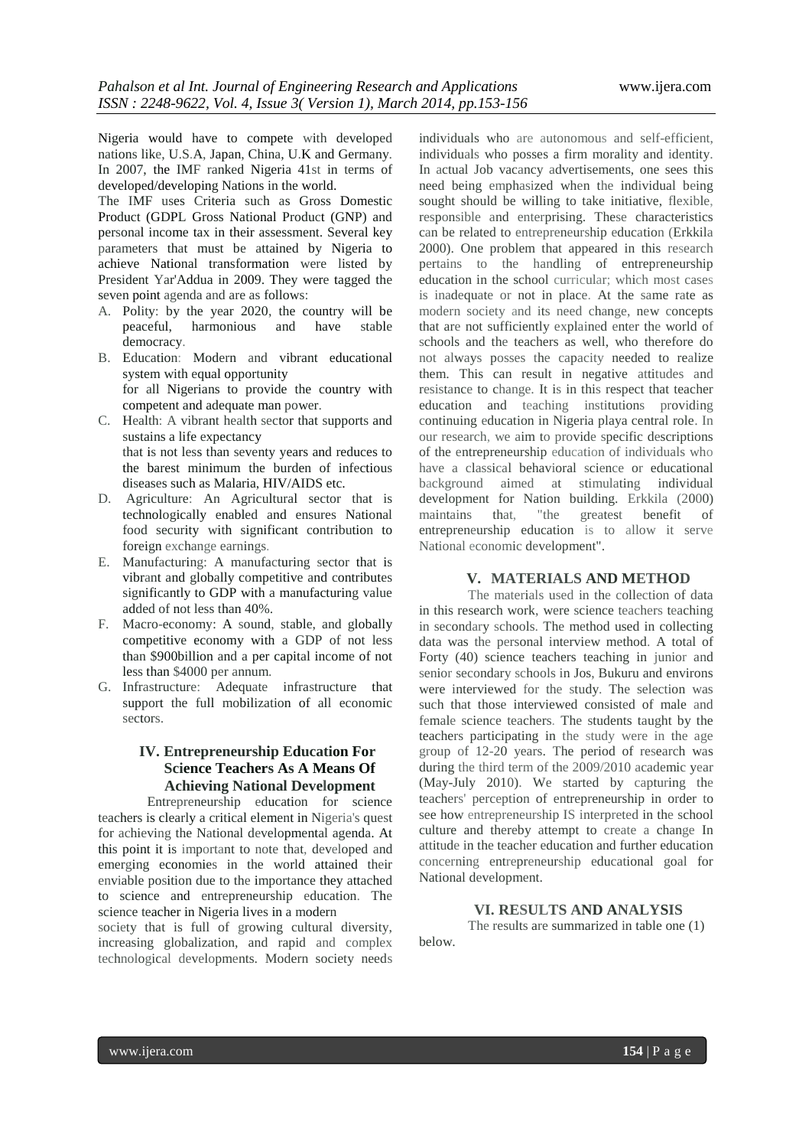Nigeria would have to compete with developed nations like, U.S.A, Japan, China, U.K and Germany. In 2007, the IMF ranked Nigeria 41st in terms of developed/developing Nations in the world.

The IMF uses Criteria such as Gross Domestic Product (GDPL Gross National Product (GNP) and personal income tax in their assessment. Several key parameters that must be attained by Nigeria to achieve National transformation were listed by President Yar'Addua in 2009. They were tagged the seven point agenda and are as follows:

- A. Polity: by the year 2020, the country will be peaceful, harmonious and have stable democracy.
- B. Education: Modern and vibrant educational system with equal opportunity for all Nigerians to provide the country with competent and adequate man power.
- C. Health: A vibrant health sector that supports and sustains a life expectancy that is not less than seventy years and reduces to the barest minimum the burden of infectious diseases such as Malaria, HIV/AIDS etc.
- D. Agriculture: An Agricultural sector that is technologically enabled and ensures National food security with significant contribution to foreign exchange earnings.
- E. Manufacturing: A manufacturing sector that is vibrant and globally competitive and contributes significantly to GDP with a manufacturing value added of not less than 40%.
- F. Macro-economy: A sound, stable, and globally competitive economy with a GDP of not less than \$900billion and a per capital income of not less than \$4000 per annum.
- G. Infrastructure: Adequate infrastructure that support the full mobilization of all economic sectors.

#### **IV. Entrepreneurship Education For Science Teachers As A Means Of Achieving National Development**

Entrepreneurship education for science teachers is clearly a critical element in Nigeria's quest for achieving the National developmental agenda. At this point it is important to note that, developed and emerging economies in the world attained their enviable position due to the importance they attached to science and entrepreneurship education. The science teacher in Nigeria lives in a modern

society that is full of growing cultural diversity, increasing globalization, and rapid and complex technological developments. Modern society needs

individuals who are autonomous and self-efficient, individuals who posses a firm morality and identity. In actual Job vacancy advertisements, one sees this need being emphasized when the individual being sought should be willing to take initiative, flexible, responsible and enterprising. These characteristics can be related to entrepreneurship education (Erkkila 2000). One problem that appeared in this research pertains to the handling of entrepreneurship education in the school curricular; which most cases is inadequate or not in place. At the same rate as modern society and its need change, new concepts that are not sufficiently explained enter the world of schools and the teachers as well, who therefore do not always posses the capacity needed to realize them. This can result in negative attitudes and resistance to change. It is in this respect that teacher education and teaching institutions providing continuing education in Nigeria playa central role. In our research, we aim to provide specific descriptions of the entrepreneurship education of individuals who have a classical behavioral science or educational background aimed at stimulating individual development for Nation building. Erkkila (2000) maintains that, "the greatest benefit of entrepreneurship education is to allow it serve National economic development".

#### **V. MATERIALS AND METHOD**

The materials used in the collection of data in this research work, were science teachers teaching in secondary schools. The method used in collecting data was the personal interview method. A total of Forty (40) science teachers teaching in junior and senior secondary schools in Jos, Bukuru and environs were interviewed for the study. The selection was such that those interviewed consisted of male and female science teachers. The students taught by the teachers participating in the study were in the age group of 12-20 years. The period of research was during the third term of the 2009/2010 academic year (May-July 2010). We started by capturing the teachers' perception of entrepreneurship in order to see how entrepreneurship IS interpreted in the school culture and thereby attempt to create a change In attitude in the teacher education and further education concerning entrepreneurship educational goal for National development.

#### **VI. RESULTS AND ANALYSIS**

The results are summarized in table one (1) below.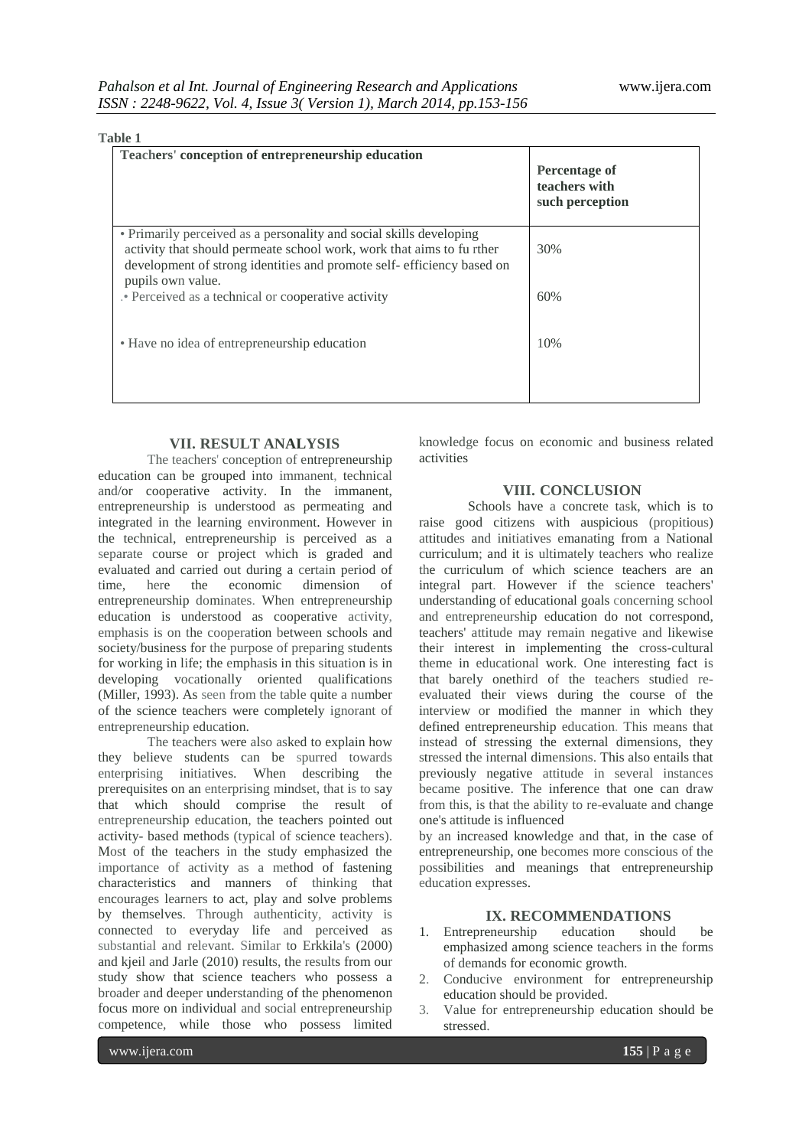| Teachers' conception of entrepreneurship education                                                                                                                                                                                         | Percentage of<br>teachers with<br>such perception |
|--------------------------------------------------------------------------------------------------------------------------------------------------------------------------------------------------------------------------------------------|---------------------------------------------------|
| • Primarily perceived as a personality and social skills developing<br>activity that should permeate school work, work that aims to fu rther<br>development of strong identities and promote self-efficiency based on<br>pupils own value. | 30%                                               |
| . Perceived as a technical or cooperative activity                                                                                                                                                                                         | 60%                                               |
| • Have no idea of entrepreneurship education                                                                                                                                                                                               | 10%                                               |

### **VII. RESULT ANALYSIS**

The teachers' conception of entrepreneurship education can be grouped into immanent, technical and/or cooperative activity. In the immanent, entrepreneurship is understood as permeating and integrated in the learning environment. However in the technical, entrepreneurship is perceived as a separate course or project which is graded and evaluated and carried out during a certain period of time, here the economic dimension of entrepreneurship dominates. When entrepreneurship education is understood as cooperative activity, emphasis is on the cooperation between schools and society/business for the purpose of preparing students for working in life; the emphasis in this situation is in developing vocationally oriented qualifications (Miller, 1993). As seen from the table quite a number of the science teachers were completely ignorant of entrepreneurship education.

The teachers were also asked to explain how they believe students can be spurred towards enterprising initiatives. When describing the prerequisites on an enterprising mindset, that is to say that which should comprise the result of entrepreneurship education, the teachers pointed out activity- based methods (typical of science teachers). Most of the teachers in the study emphasized the importance of activity as a method of fastening characteristics and manners of thinking that encourages learners to act, play and solve problems by themselves. Through authenticity, activity is connected to everyday life and perceived as substantial and relevant. Similar to Erkkila's (2000) and kjeil and Jarle (2010) results, the results from our study show that science teachers who possess a broader and deeper understanding of the phenomenon focus more on individual and social entrepreneurship competence, while those who possess limited

knowledge focus on economic and business related activities

#### **VIII. CONCLUSION**

Schools have a concrete task, which is to raise good citizens with auspicious (propitious) attitudes and initiatives emanating from a National curriculum; and it is ultimately teachers who realize the curriculum of which science teachers are an integral part. However if the science teachers' understanding of educational goals concerning school and entrepreneurship education do not correspond, teachers' attitude may remain negative and likewise their interest in implementing the cross-cultural theme in educational work. One interesting fact is that barely onethird of the teachers studied reevaluated their views during the course of the interview or modified the manner in which they defined entrepreneurship education. This means that instead of stressing the external dimensions, they stressed the internal dimensions. This also entails that previously negative attitude in several instances became positive. The inference that one can draw from this, is that the ability to re-evaluate and change one's attitude is influenced

by an increased knowledge and that, in the case of entrepreneurship, one becomes more conscious of the possibilities and meanings that entrepreneurship education expresses.

#### **IX. RECOMMENDATIONS**

- 1. Entrepreneurship education should be emphasized among science teachers in the forms of demands for economic growth.
- 2. Conducive environment for entrepreneurship education should be provided.
- 3. Value for entrepreneurship education should be stressed.